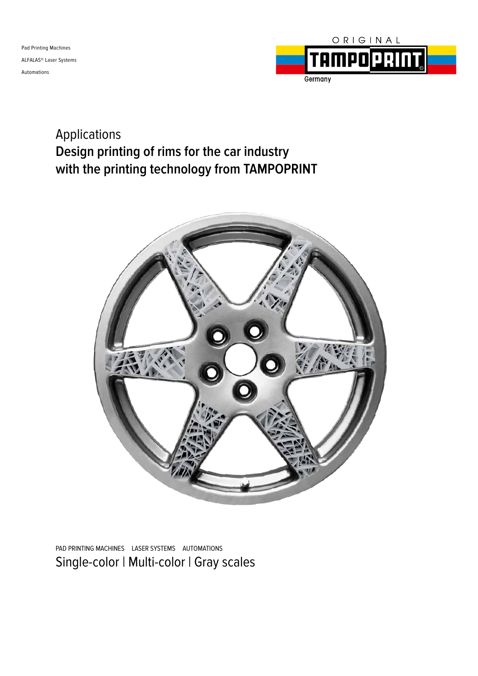

### Applications **Design printing of rims for the car industry with the printing technology from TAMPOPRINT**



Single-color | Multi-color | Gray scales PAD PRINTING MACHINES LASER SYSTEMS AUTOMATIONS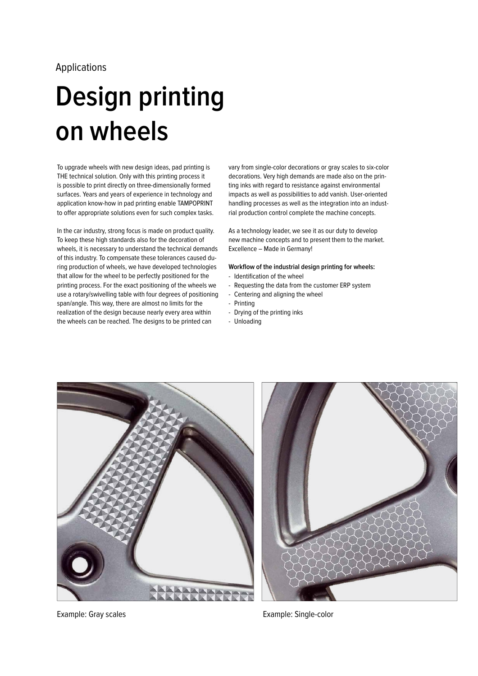### Applications

## **Design printing on wheels**

To upgrade wheels with new design ideas, pad printing is THE technical solution. Only with this printing process it is possible to print directly on three-dimensionally formed surfaces. Years and years of experience in technology and application know-how in pad printing enable TAMPOPRINT to offer appropriate solutions even for such complex tasks.

In the car industry, strong focus is made on product quality. To keep these high standards also for the decoration of wheels, it is necessary to understand the technical demands of this industry. To compensate these tolerances caused during production of wheels, we have developed technologies that allow for the wheel to be perfectly positioned for the printing process. For the exact positioning of the wheels we use a rotary/swivelling table with four degrees of positioning span/angle. This way, there are almost no limits for the realization of the design because nearly every area within the wheels can be reached. The designs to be printed can

vary from single-color decorations or gray scales to six-color decorations. Very high demands are made also on the printing inks with regard to resistance against environmental impacts as well as possibilities to add vanish. User-oriented handling processes as well as the integration into an industrial production control complete the machine concepts.

As a technology leader, we see it as our duty to develop new machine concepts and to present them to the market. Excellence – Made in Germany!

**Workflow of the industrial design printing for wheels:**

- Identification of the wheel
- Requesting the data from the customer ERP system
- Centering and aligning the wheel
- Printing
- Drying of the printing inks
- Unloading





Example: Gray scales Example: Single-color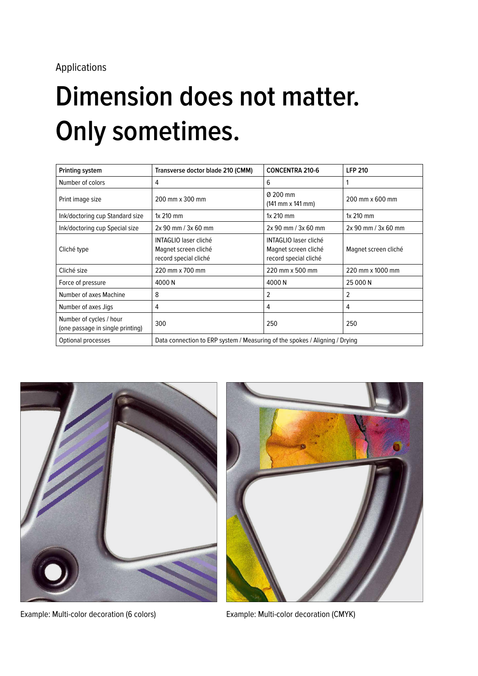# **Dimension does not matter. Only sometimes.**

| Printing system                                             | Transverse doctor blade 210 (CMM)                                             | <b>CONCENTRA 210-6</b>                                                 | <b>LFP 210</b>          |
|-------------------------------------------------------------|-------------------------------------------------------------------------------|------------------------------------------------------------------------|-------------------------|
| Number of colors                                            | 4                                                                             | 6                                                                      |                         |
| Print image size                                            | 200 mm x 300 mm                                                               | Ø 200 mm<br>(141 mm x 141 mm)                                          | 200 mm x 600 mm         |
| Ink/doctoring cup Standard size                             | $1x$ 210 mm                                                                   | $1x$ 210 mm                                                            | $1x$ 210 mm             |
| Ink/doctoring cup Special size                              | $2x 90$ mm $/$ 3x 60 mm                                                       | 2x 90 mm / 3x 60 mm                                                    | $2x 90$ mm / $3x 60$ mm |
| Cliché type                                                 | <b>INTAGLIO laser cliché</b><br>Magnet screen cliché<br>record special cliché | INTAGLIO laser cliché<br>Magnet screen cliché<br>record special cliché | Magnet screen cliché    |
| Cliché size                                                 | 220 mm x 700 mm                                                               | 220 mm x 500 mm                                                        | 220 mm x 1000 mm        |
| Force of pressure                                           | 4000 N                                                                        | 4000 N                                                                 | 25 000 N                |
| Number of axes Machine                                      | 8                                                                             | 2                                                                      | 2                       |
| Number of axes Jigs                                         | $\overline{4}$                                                                | 4                                                                      | 4                       |
| Number of cycles / hour<br>(one passage in single printing) | 300                                                                           | 250                                                                    | 250                     |
| Optional processes                                          | Data connection to ERP system / Measuring of the spokes / Aligning / Drying   |                                                                        |                         |



Example: Multi-color decoration (6 colors) Example: Multi-color decoration (CMYK)